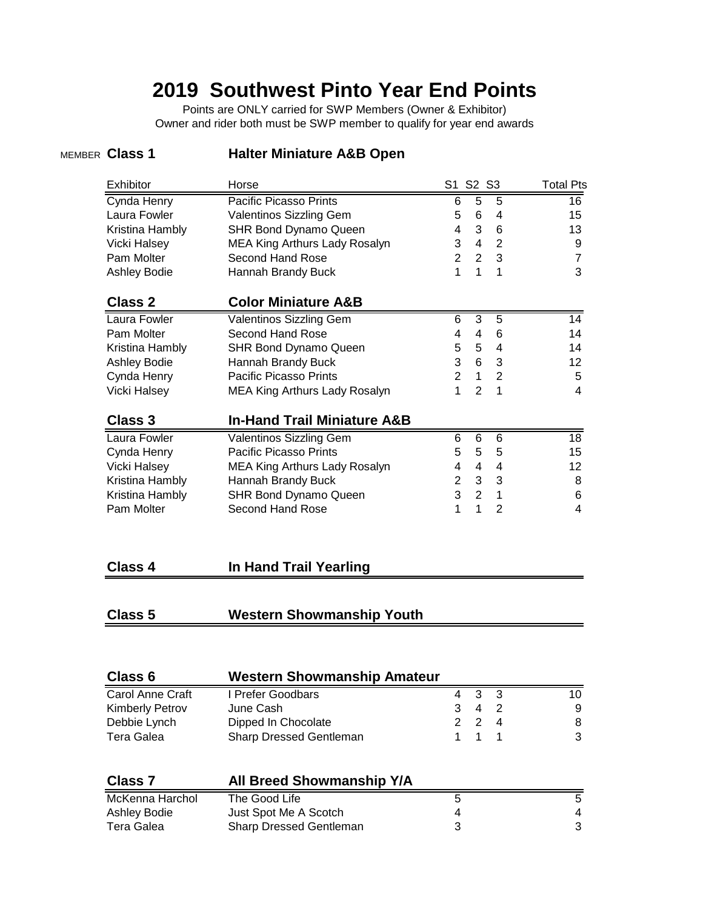# **2019 Southwest Pinto Year End Points**

Points are ONLY carried for SWP Members (Owner & Exhibitor) Owner and rider both must be SWP member to qualify for year end awards

#### MEMBER **Class 1 Halter Miniature A&B Open**

| Horse                                  |              |                                                                                                                             | <b>Total Pts</b>                                                                                                                                                                     |
|----------------------------------------|--------------|-----------------------------------------------------------------------------------------------------------------------------|--------------------------------------------------------------------------------------------------------------------------------------------------------------------------------------|
| <b>Pacific Picasso Prints</b>          |              | 5                                                                                                                           | 16                                                                                                                                                                                   |
| Valentinos Sizzling Gem                |              | $\overline{\mathcal{A}}$                                                                                                    | 15                                                                                                                                                                                   |
| <b>SHR Bond Dynamo Queen</b>           |              | 6                                                                                                                           | 13                                                                                                                                                                                   |
| MEA King Arthurs Lady Rosalyn          |              | $\overline{2}$                                                                                                              | 9                                                                                                                                                                                    |
| Second Hand Rose                       |              | 3                                                                                                                           | $\overline{7}$                                                                                                                                                                       |
| Hannah Brandy Buck                     | 1            | 1                                                                                                                           | 3                                                                                                                                                                                    |
| <b>Color Miniature A&amp;B</b>         |              |                                                                                                                             |                                                                                                                                                                                      |
| Valentinos Sizzling Gem                | 6            | $\overline{5}$                                                                                                              | 14                                                                                                                                                                                   |
| Second Hand Rose                       |              | 6                                                                                                                           | 14                                                                                                                                                                                   |
| <b>SHR Bond Dynamo Queen</b>           |              | $\overline{4}$                                                                                                              | 14                                                                                                                                                                                   |
| Hannah Brandy Buck                     |              | 3                                                                                                                           | 12                                                                                                                                                                                   |
| <b>Pacific Picasso Prints</b>          |              | $\overline{2}$                                                                                                              | 5                                                                                                                                                                                    |
| <b>MEA King Arthurs Lady Rosalyn</b>   | $\mathbf{1}$ | 1                                                                                                                           | 4                                                                                                                                                                                    |
| <b>In-Hand Trail Miniature A&amp;B</b> |              |                                                                                                                             |                                                                                                                                                                                      |
| Valentinos Sizzling Gem                |              | 6                                                                                                                           | 18                                                                                                                                                                                   |
| <b>Pacific Picasso Prints</b>          |              | 5                                                                                                                           | 15                                                                                                                                                                                   |
| MEA King Arthurs Lady Rosalyn          |              | $\overline{4}$                                                                                                              | 12                                                                                                                                                                                   |
| Hannah Brandy Buck                     |              | 3                                                                                                                           | 8                                                                                                                                                                                    |
| <b>SHR Bond Dynamo Queen</b>           |              | $\mathbf{1}$                                                                                                                | 6                                                                                                                                                                                    |
| <b>Second Hand Rose</b>                | 1            | $\overline{2}$                                                                                                              | 4                                                                                                                                                                                    |
|                                        |              |                                                                                                                             |                                                                                                                                                                                      |
| In Hand Trail Yearling                 |              |                                                                                                                             |                                                                                                                                                                                      |
|                                        |              |                                                                                                                             |                                                                                                                                                                                      |
| <b>Western Showmanship Youth</b>       |              |                                                                                                                             |                                                                                                                                                                                      |
|                                        |              | 6<br>5<br>$\overline{4}$<br>3<br>$\overline{2}$<br>1<br>4<br>5<br>3<br>$\overline{2}$<br>6<br>5<br>4<br>$\overline{2}$<br>3 | S1 S2 S3<br>5<br>6<br>3<br>$\overline{4}$<br>$\overline{2}$<br>3<br>4<br>5<br>6<br>$\mathbf{1}$<br>$\overline{2}$<br>6<br>5<br>$\overline{4}$<br>3<br>$\overline{2}$<br>$\mathbf{1}$ |

| Class 6                 | <b>Western Showmanship Amateur</b> |   |   |     |    |
|-------------------------|------------------------------------|---|---|-----|----|
| <b>Carol Anne Craft</b> | I Prefer Goodbars                  | 4 | 3 | - 3 | 10 |
| <b>Kimberly Petrov</b>  | June Cash                          | 3 | 4 | 2   | 9  |
| Debbie Lynch            | Dipped In Chocolate                |   | 2 | 4   | 8  |
| Tera Galea              | Sharp Dressed Gentleman            |   | 1 |     | 3  |
| <b>Class 7</b>          | <b>All Breed Showmanship Y/A</b>   |   |   |     |    |
| McKenna Harchol         | The Good Life                      | 5 |   |     | 5  |
| <b>Ashley Bodie</b>     | Just Spot Me A Scotch              | 4 |   |     | 4  |
| Tera Galea              | <b>Sharp Dressed Gentleman</b>     | 3 |   |     | 3  |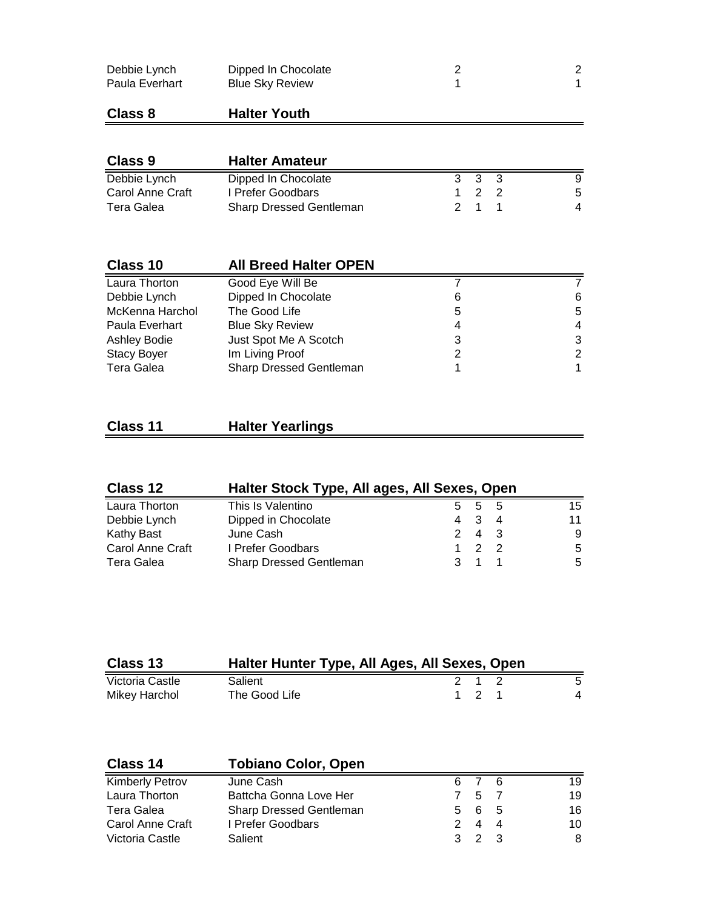| Debbie Lynch   | Dipped In Chocolate    |  |
|----------------|------------------------|--|
| Paula Everhart | <b>Blue Sky Review</b> |  |

#### **Class 8 Halter Youth**

| Class 9          | <b>Halter Amateur</b>          |                                             |    |
|------------------|--------------------------------|---------------------------------------------|----|
| Debbie Lynch     | Dipped In Chocolate            | 3 3 3                                       |    |
| Carol Anne Craft | I Prefer Goodbars              | $\begin{array}{cccc} 1 & 2 & 2 \end{array}$ | -5 |
| Tera Galea       | <b>Sharp Dressed Gentleman</b> | 2 1 1                                       | 4  |

| 6 |
|---|
| 5 |
| 4 |
| 3 |
| 2 |
| 1 |
|   |

## **Class 11 Halter Yearlings**

| Class 12         | Halter Stock Type, All ages, All Sexes, Open |     |             |      |    |
|------------------|----------------------------------------------|-----|-------------|------|----|
| Laura Thorton    | This Is Valentino                            |     | 5 5         | $-5$ | 15 |
| Debbie Lynch     | Dipped in Chocolate                          | 4 3 |             | -4   | 11 |
| Kathy Bast       | June Cash                                    |     | 2 4 3       |      | 9  |
| Carol Anne Craft | I Prefer Goodbars                            |     | 1 2 2       |      | -5 |
| Tera Galea       | Sharp Dressed Gentleman                      |     | $3 \t1 \t1$ |      | -5 |

| Class 13        | Halter Hunter Type, All Ages, All Sexes, Open |       |   |
|-----------------|-----------------------------------------------|-------|---|
| Victoria Castle | Salient                                       | 2 1 2 | 5 |
| Mikey Harchol   | The Good Life                                 | 1 2 1 | 4 |

| Class 14                | <b>Tobiano Color, Open</b> |                |             |    |    |
|-------------------------|----------------------------|----------------|-------------|----|----|
| <b>Kimberly Petrov</b>  | June Cash                  |                | 6 7 6       |    | 19 |
| Laura Thorton           | Battcha Gonna Love Her     |                | 7 5 7       |    | 19 |
| Tera Galea              | Sharp Dressed Gentleman    |                | 5 6 5       |    | 16 |
| <b>Carol Anne Craft</b> | I Prefer Goodbars          | $\overline{2}$ | 4           | -4 | 10 |
| Victoria Castle         | Salient                    |                | $3 \t2 \t3$ |    | 8  |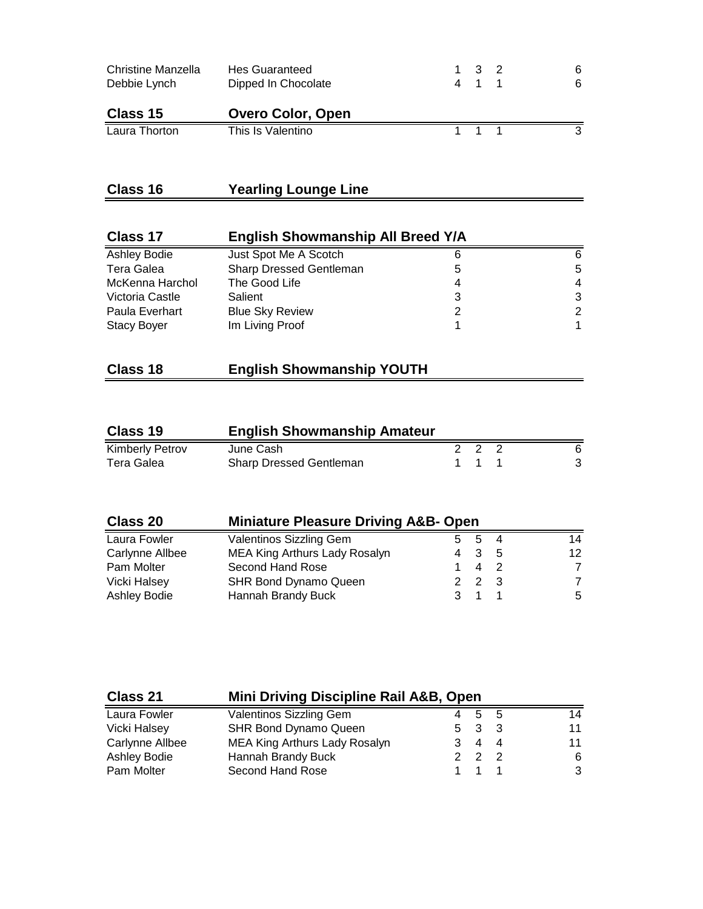| Christine Manzella<br>Debbie Lynch | <b>Hes Guaranteed</b><br>Dipped In Chocolate | 1 3 2<br>4 1 1 | 6.<br>6. |
|------------------------------------|----------------------------------------------|----------------|----------|
| Class 15                           | <b>Overo Color, Open</b>                     |                |          |
| Laura Thorton                      | This Is Valentino                            | 1 1 1          | 2        |

## **Class 16 Yearling Lounge Line**

| Class 17            | <b>English Showmanship All Breed Y/A</b> |   |   |
|---------------------|------------------------------------------|---|---|
| <b>Ashley Bodie</b> | Just Spot Me A Scotch                    |   | 6 |
| Tera Galea          | Sharp Dressed Gentleman                  | 5 | 5 |
| McKenna Harchol     | The Good Life                            |   | 4 |
| Victoria Castle     | Salient                                  |   | 3 |
| Paula Everhart      | <b>Blue Sky Review</b>                   |   | 2 |
| <b>Stacy Boyer</b>  | Im Living Proof                          |   |   |

| Class 18<br><b>English Showmanship YOUTH</b> |  |
|----------------------------------------------|--|
|----------------------------------------------|--|

| Class 19               | <b>English Showmanship Amateur</b> |  |       |  |   |
|------------------------|------------------------------------|--|-------|--|---|
| <b>Kimberly Petrov</b> | June Cash                          |  | 222   |  |   |
| Tera Galea             | <b>Sharp Dressed Gentleman</b>     |  | 1 1 1 |  | 3 |

| Class 20        | <b>Miniature Pleasure Driving A&amp;B- Open</b> |  |                          |    |    |
|-----------------|-------------------------------------------------|--|--------------------------|----|----|
| Laura Fowler    | <b>Valentinos Sizzling Gem</b>                  |  | -5                       | 4  | 14 |
| Carlynne Allbee | MEA King Arthurs Lady Rosalyn                   |  | 4 3                      | -5 | 12 |
| Pam Molter      | Second Hand Rose                                |  | $\overline{\mathcal{A}}$ |    | 7  |
| Vicki Halsey    | <b>SHR Bond Dynamo Queen</b>                    |  | 2 2 3                    |    | 7  |
| Ashley Bodie    | Hannah Brandy Buck                              |  |                          |    | 5  |

| Class 21            | Mini Driving Discipline Rail A&B, Open |  |            |  |    |
|---------------------|----------------------------------------|--|------------|--|----|
| Laura Fowler        | Valentinos Sizzling Gem                |  | 4 5 5      |  | 14 |
| Vicki Halsey        | <b>SHR Bond Dynamo Queen</b>           |  | 5 3 3      |  | 11 |
| Carlynne Allbee     | MEA King Arthurs Lady Rosalyn          |  | $4\quad 4$ |  | 11 |
| <b>Ashley Bodie</b> | Hannah Brandy Buck                     |  | 2 2 2      |  | 6. |
| Pam Molter          | Second Hand Rose                       |  |            |  | 3  |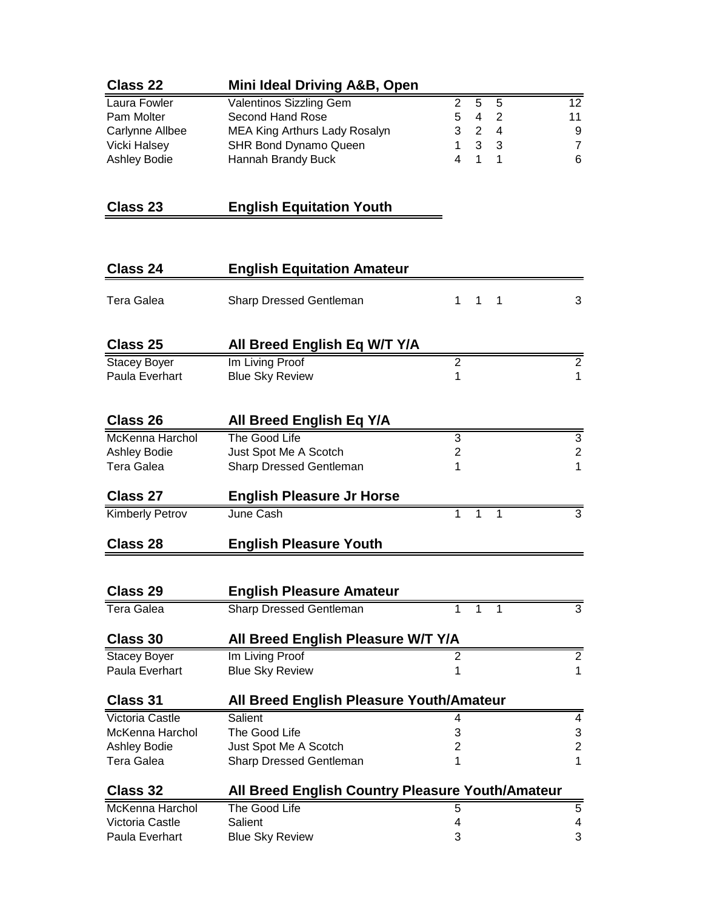| Class 22     | Mini Ideal Driving A&B, Open |       |    |
|--------------|------------------------------|-------|----|
| Laura Fowler | Valentinos Sizzling Gem      | 2 5 5 | 12 |
| Pam Molter   | Second Hand Rose             | 542   | 11 |

| Carlynne Allbee | MEA King Arthurs Lady Rosalyn | 3 2 4 |       |  |
|-----------------|-------------------------------|-------|-------|--|
| Vicki Halsev    | SHR Bond Dynamo Queen         |       | 1 3 3 |  |
| Ashley Bodie    | Hannah Brandy Buck            |       | 4 1 1 |  |

## **Class 23 English Equitation Youth**

| Class 24                              | <b>English Equitation Amateur</b>                |                                                    |                                  |
|---------------------------------------|--------------------------------------------------|----------------------------------------------------|----------------------------------|
| Tera Galea                            | Sharp Dressed Gentleman                          | 1<br>1<br>$\mathbf 1$                              | 3                                |
| Class 25                              | All Breed English Eq W/T Y/A                     |                                                    |                                  |
| <b>Stacey Boyer</b><br>Paula Everhart | Im Living Proof<br><b>Blue Sky Review</b>        | $\overline{2}$<br>$\overline{1}$                   | $\overline{2}$<br>$\overline{1}$ |
|                                       |                                                  |                                                    |                                  |
| Class 26                              | <b>All Breed English Eq Y/A</b>                  |                                                    |                                  |
| <b>McKenna Harchol</b>                | The Good Life                                    | 3                                                  | 3                                |
| Ashley Bodie                          | Just Spot Me A Scotch                            | $\overline{\mathbf{c}}$                            | $\overline{\mathbf{c}}$          |
| <b>Tera Galea</b>                     | Sharp Dressed Gentleman                          | 1                                                  | 1                                |
| <b>Class 27</b>                       | <b>English Pleasure Jr Horse</b>                 |                                                    |                                  |
| Kimberly Petrov                       | June Cash                                        | $\overline{1}$<br>$\overline{1}$<br>$\overline{1}$ | $\overline{3}$                   |
| <b>Class 28</b>                       | <b>English Pleasure Youth</b>                    |                                                    |                                  |
|                                       |                                                  |                                                    |                                  |
| Class 29                              | <b>English Pleasure Amateur</b>                  |                                                    |                                  |
| <b>Tera Galea</b>                     | <b>Sharp Dressed Gentleman</b>                   | 1<br>1<br>1                                        | $\overline{3}$                   |
| Class 30                              | All Breed English Pleasure W/T Y/A               |                                                    |                                  |
| <b>Stacey Boyer</b>                   | Im Living Proof                                  | 2                                                  | $\overline{2}$                   |
| Paula Everhart                        | <b>Blue Sky Review</b>                           | 1                                                  | $\mathbf{1}$                     |
| <b>Class 31</b>                       | All Breed English Pleasure Youth/Amateur         |                                                    |                                  |
| <b>Victoria Castle</b>                | Salient                                          | 4                                                  | 4                                |
| McKenna Harchol                       | The Good Life                                    | 3                                                  | 3                                |
| Ashley Bodie                          | Just Spot Me A Scotch                            | 2                                                  | $\overline{c}$                   |
| Tera Galea                            | Sharp Dressed Gentleman                          | 1                                                  | 1                                |
| Class 32                              | All Breed English Country Pleasure Youth/Amateur |                                                    |                                  |
| McKenna Harchol                       | The Good Life                                    | 5                                                  | $\overline{5}$                   |
| Victoria Castle                       | Salient                                          | 4                                                  | 4                                |
| Paula Everhart                        | <b>Blue Sky Review</b>                           | 3                                                  | 3                                |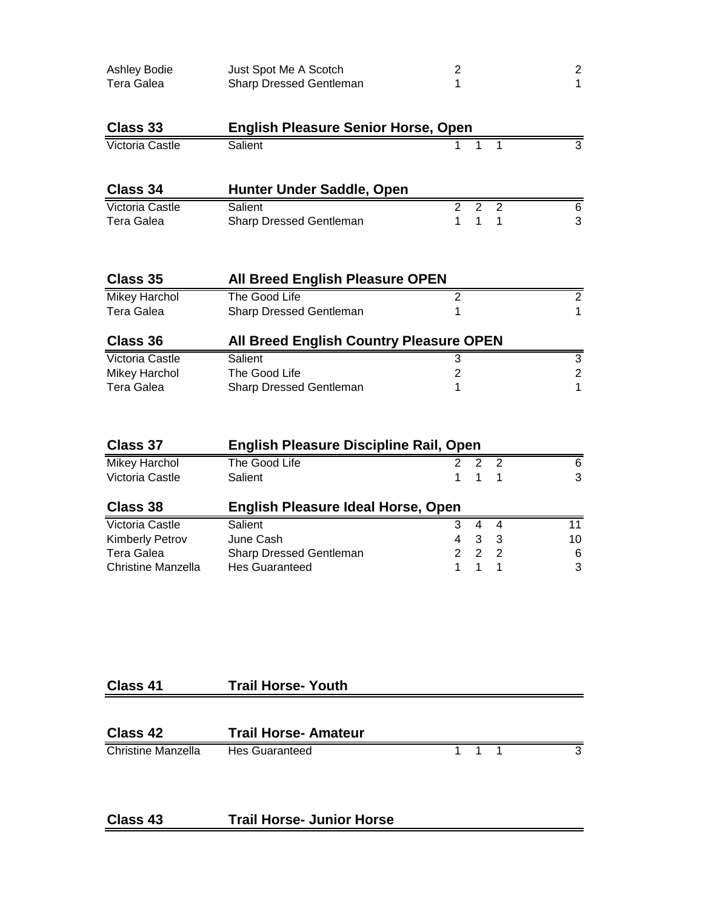| Ashley Bodie<br><b>Tera Galea</b>    | Just Spot Me A Scotch<br>Sharp Dressed Gentleman | $\overline{c}$<br>1 |                                |                     | $\boldsymbol{2}$<br>$\mathbf{1}$ |
|--------------------------------------|--------------------------------------------------|---------------------|--------------------------------|---------------------|----------------------------------|
| <b>Class 33</b>                      | <b>English Pleasure Senior Horse, Open</b>       |                     |                                |                     |                                  |
| <b>Victoria Castle</b>               | Salient                                          | 1                   | 1                              | 1                   | $\overline{3}$                   |
| Class 34                             | Hunter Under Saddle, Open                        |                     |                                |                     |                                  |
| Victoria Castle<br><b>Tera Galea</b> | Salient<br>Sharp Dressed Gentleman               | $\overline{2}$<br>1 | $\overline{2}$<br>$\mathbf{1}$ | $\overline{2}$<br>1 | 6<br>3                           |
| Class 35                             | <b>All Breed English Pleasure OPEN</b>           |                     |                                |                     |                                  |
| <b>Mikey Harchol</b>                 | The Good Life                                    | $\overline{c}$      |                                |                     | $\overline{2}$                   |
| <b>Tera Galea</b>                    | Sharp Dressed Gentleman                          | 1                   |                                |                     | $\mathbf{1}$                     |
| Class 36                             | <b>All Breed English Country Pleasure OPEN</b>   |                     |                                |                     |                                  |
| Victoria Castle                      | Salient                                          | 3                   |                                |                     | 3                                |
| <b>Mikey Harchol</b>                 | The Good Life                                    | $\overline{2}$      |                                |                     | $\overline{2}$                   |
| <b>Tera Galea</b>                    | Sharp Dressed Gentleman                          | 1                   |                                |                     | $\mathbf{1}$                     |
| <b>Class 37</b>                      | <b>English Pleasure Discipline Rail, Open</b>    |                     |                                |                     |                                  |
| <b>Mikey Harchol</b>                 | The Good Life                                    | 2                   | 2                              | $\overline{2}$      | 6                                |
| Victoria Castle                      | Salient                                          | 1                   | $\mathbf{1}$                   | 1                   | 3                                |
| <b>Class 38</b>                      | <b>English Pleasure Ideal Horse, Open</b>        |                     |                                |                     |                                  |
| <b>Victoria Castle</b>               | Salient                                          | 3                   | $\overline{4}$                 | $\overline{4}$      | 11                               |
| Kimberly Petrov                      | June Cash                                        | 4                   | 3                              | 3                   | 10                               |
| <b>Tera Galea</b>                    | Sharp Dressed Gentleman                          | $\overline{2}$      | $\overline{2}$                 | $\overline{c}$      | $\,6$                            |
| <b>Christine Manzella</b>            | <b>Hes Guaranteed</b>                            | 1                   | $\mathbf{1}$                   | 1                   | 3                                |
|                                      |                                                  |                     |                                |                     |                                  |
|                                      |                                                  |                     |                                |                     |                                  |

## **Class 41 Trail Horse- Youth**

| <b>Class 42</b>    | <b>Trail Horse-Amateur</b> |       |  |
|--------------------|----------------------------|-------|--|
| Christine Manzella | Hes Guaranteed             | 1 1 1 |  |

#### **Class 43 Trail Horse- Junior Horse**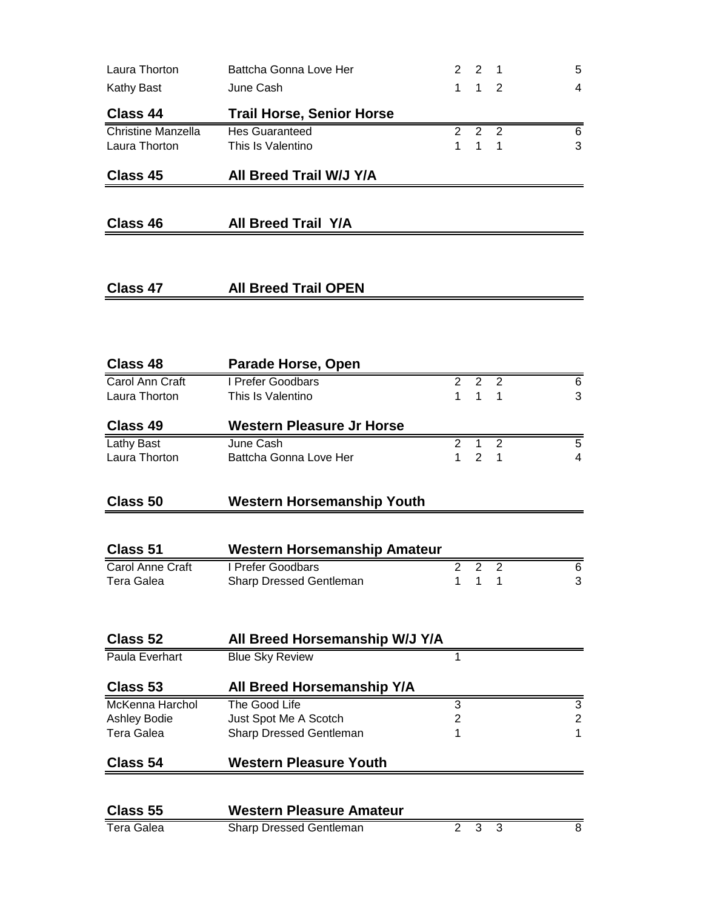| Laura Thorton             | Battcha Gonna Love Her              | 2                              | 2                              | 1              | 5              |
|---------------------------|-------------------------------------|--------------------------------|--------------------------------|----------------|----------------|
| <b>Kathy Bast</b>         | June Cash                           | 1                              | $\mathbf{1}$                   | 2              | $\overline{4}$ |
| Class 44                  | <b>Trail Horse, Senior Horse</b>    |                                |                                |                |                |
| <b>Christine Manzella</b> | <b>Hes Guaranteed</b>               | $\overline{c}$                 | $\overline{2}$                 | 2              | 6              |
| Laura Thorton             | This Is Valentino                   | 1                              | $\mathbf{1}$                   | 1              | 3              |
| Class 45                  | All Breed Trail W/J Y/A             |                                |                                |                |                |
|                           |                                     |                                |                                |                |                |
| Class 46                  | <b>All Breed Trail Y/A</b>          |                                |                                |                |                |
|                           |                                     |                                |                                |                |                |
| Class 47                  | <b>All Breed Trail OPEN</b>         |                                |                                |                |                |
|                           |                                     |                                |                                |                |                |
|                           |                                     |                                |                                |                |                |
| Class 48                  | Parade Horse, Open                  |                                |                                |                |                |
| Carol Ann Craft           | I Prefer Goodbars                   | $\overline{2}$<br>$\mathbf{1}$ | $\overline{2}$<br>$\mathbf{1}$ | $\overline{2}$ | 6              |
| Laura Thorton             | This Is Valentino                   |                                |                                | 1              | 3              |
| Class 49                  | Western Pleasure Jr Horse           |                                |                                |                |                |
| <b>Lathy Bast</b>         | June Cash                           | $\overline{2}$                 | 1                              | $\overline{2}$ | $\overline{5}$ |
| Laura Thorton             | Battcha Gonna Love Her              | 1                              | $\overline{2}$                 | 1              | 4              |
| <b>Class 50</b>           | <b>Western Horsemanship Youth</b>   |                                |                                |                |                |
|                           |                                     |                                |                                |                |                |
| Class 51                  | <b>Western Horsemanship Amateur</b> |                                |                                |                |                |
| Carol Anne Craft          | I Prefer Goodbars                   | $\overline{2}$                 | $\overline{2}$                 | $\overline{2}$ | 6              |
| Tera Galea                | <b>Sharp Dressed Gentleman</b>      | 1                              | 1                              | 1              | 3              |
|                           |                                     |                                |                                |                |                |
| Class 52                  | All Breed Horsemanship W/J Y/A      |                                |                                |                |                |
| Paula Everhart            | <b>Blue Sky Review</b>              | 1                              |                                |                |                |
| Class 53                  | All Breed Horsemanship Y/A          |                                |                                |                |                |
| McKenna Harchol           | The Good Life                       | 3                              |                                |                | 3              |
| Ashley Bodie              | Just Spot Me A Scotch               | 2                              |                                |                | $\sqrt{2}$     |
| <b>Tera Galea</b>         | Sharp Dressed Gentleman             | 1                              |                                |                | 1              |
| <b>Class 54</b>           | <b>Western Pleasure Youth</b>       |                                |                                |                |                |
|                           |                                     |                                |                                |                |                |
| <b>Class 55</b>           | <b>Western Pleasure Amateur</b>     |                                |                                |                |                |
| <b>Tera Galea</b>         | Sharp Dressed Gentleman             | $\overline{2}$                 | 3                              | 3              | 8              |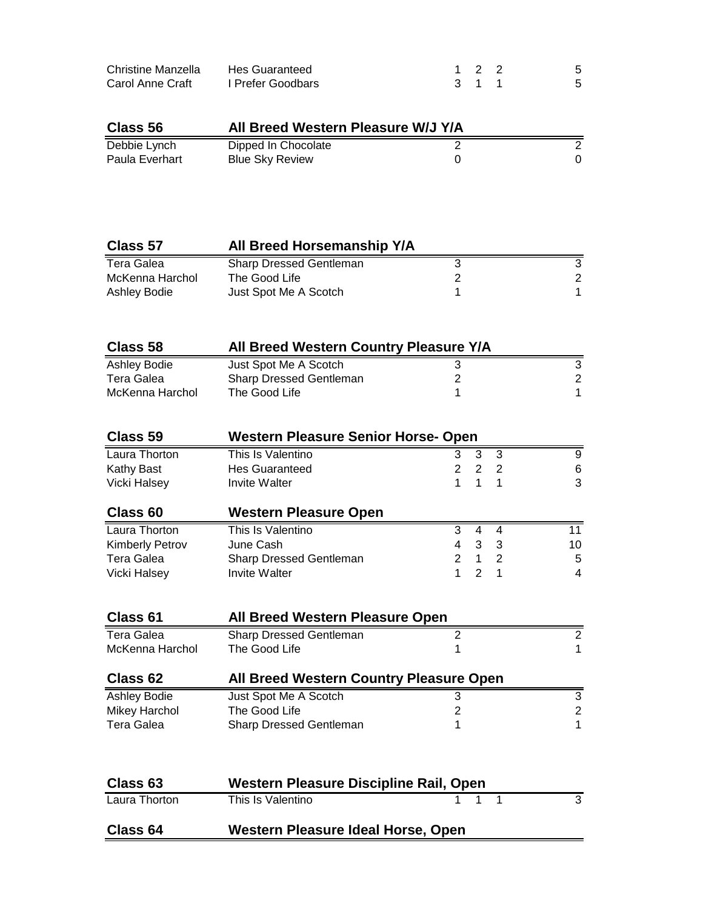| Christine Manzella | Hes Guaranteed    | 1 2 2 |    |
|--------------------|-------------------|-------|----|
| Carol Anne Craft   | I Prefer Goodbars | 3 1 1 | 5. |

| Class 56       | All Breed Western Pleasure W/J Y/A |  |  |
|----------------|------------------------------------|--|--|
| Debbie Lynch   | Dipped In Chocolate                |  |  |
| Paula Everhart | <b>Blue Sky Review</b>             |  |  |

| Class 57        | All Breed Horsemanship Y/A     |               |
|-----------------|--------------------------------|---------------|
| Tera Galea      | <b>Sharp Dressed Gentleman</b> |               |
| McKenna Harchol | The Good Life                  | $\mathcal{P}$ |
| Ashley Bodie    | Just Spot Me A Scotch          |               |

| Class 58        | All Breed Western Country Pleasure Y/A |  |   |  |
|-----------------|----------------------------------------|--|---|--|
| Ashley Bodie    | Just Spot Me A Scotch                  |  |   |  |
| Tera Galea      | <b>Sharp Dressed Gentleman</b>         |  | 2 |  |
| McKenna Harchol | The Good Life                          |  |   |  |

| Class 59               | <b>Western Pleasure Senior Horse- Open</b> |               |   |    |    |  |
|------------------------|--------------------------------------------|---------------|---|----|----|--|
| Laura Thorton          | This Is Valentino                          | 3             | 3 | -3 | 9  |  |
| Kathy Bast             | <b>Hes Guaranteed</b>                      | $\mathcal{P}$ | 2 | -2 | 6  |  |
| Vicki Halsey           | Invite Walter                              |               |   |    | 3  |  |
| Class 60               | <b>Western Pleasure Open</b>               |               |   |    |    |  |
| Laura Thorton          | This Is Valentino                          | 3             | 4 | 4  | 11 |  |
| <b>Kimberly Petrov</b> | June Cash                                  | 4             | 3 | 3  | 10 |  |
| Tera Galea             | Sharp Dressed Gentleman                    | 2             | 1 | -2 | 5  |  |
| Vicki Halsey           | <b>Invite Walter</b>                       |               | 2 |    | 4  |  |

| Class 61             | <b>All Breed Western Pleasure Open</b>  |   |   |
|----------------------|-----------------------------------------|---|---|
| Tera Galea           | <b>Sharp Dressed Gentleman</b>          | 2 | 2 |
| McKenna Harchol      | The Good Life                           |   |   |
| Class 62             | All Breed Western Country Pleasure Open |   |   |
| Ashley Bodie         | Just Spot Me A Scotch                   | 3 | 3 |
| <b>Mikey Harchol</b> | The Good Life                           | 2 | 2 |
| Tera Galea           | Sharp Dressed Gentleman                 |   |   |
|                      |                                         |   |   |
| Class 63             | Western Pleasure Discipline Rail, Open  |   |   |
| Laura Thorton        | This Is Valentino                       |   | 3 |

**Class 64 Western Pleasure Ideal Horse, Open**